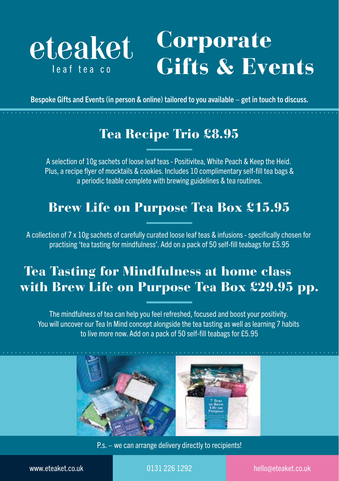

## Corporate Gifts & Events

Bespoke Gifts and Events (in person & online) tailored to you available – get in touch to discuss.

## Tea Recipe Trio £8.95

A selection of 10g sachets of loose leaf teas - Positivitea, White Peach & Keep the Heid. Plus, a recipe flyer of mocktails & cookies. Includes 10 complimentary self-fill tea bags & a periodic teable complete with brewing guidelines & tea routines.

#### Brew Life on Purpose Tea Box £15.95

A collection of 7 x 10g sachets of carefully curated loose leaf teas & infusions - specifically chosen for practising 'tea tasting for mindfulness'. Add on a pack of 50 self-fill teabags for £5.95

## Tea Tasting for Mindfulness at home class with Brew Life on Purpose Tea Box £29.95 pp.

The mindfulness of tea can help you feel refreshed, focused and boost your positivity. You will uncover our Tea In Mind concept alongside the tea tasting as well as learning 7 habits to live more now. Add on a pack of 50 self-fill teabags for £5.95



P.s. – we can arrange delivery directly to recipients!

www.eteaket.co.uk 0131 226 1292 hello@eteaket.co.uk